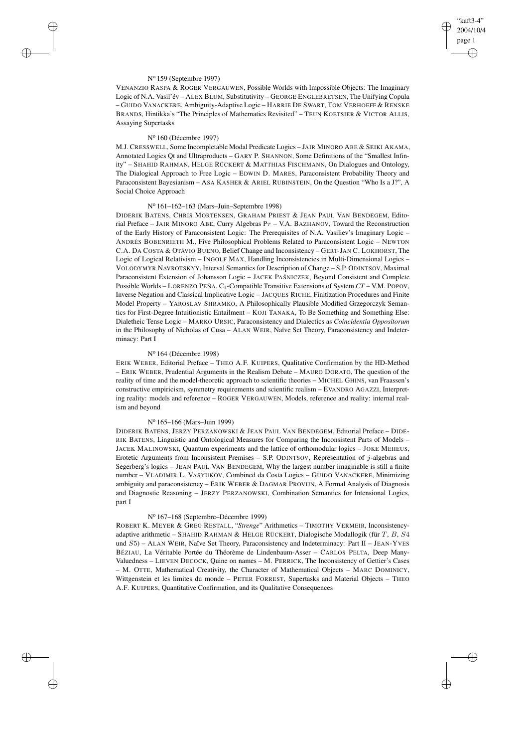✐

✐

### N<sup>o</sup> 159 (Septembre 1997)

✐

✐

✐

✐

VENANZIO RASPA & ROGER VERGAUWEN, Possible Worlds with Impossible Objects: The Imaginary Logic of N.A. Vasil'év – ALEX BLUM, Substitutivity – GEORGE ENGLEBRETSEN, The Unifying Copula – GUIDO VANACKERE, Ambiguity-Adaptive Logic – HARRIE DE SWART, TOM VERHOEFF & RENSKE BRANDS, Hintikka's "The Principles of Mathematics Revisited" – TEUN KOETSIER & VICTOR ALLIS, Assaying Supertasks

#### N<sup>o</sup> 160 (Décembre 1997)

M.J. CRESSWELL, Some Incompletable Modal Predicate Logics – JAIR MINORO ABE & SEIKI AKAMA, Annotated Logics Qt and Ultraproducts – GARY P. SHANNON, Some Definitions of the "Smallest Infinity" – SHAHID RAHMAN, HELGE RÜCKERT & MATTHIAS FISCHMANN, On Dialogues and Ontology, The Dialogical Approach to Free Logic – EDWIN D. MARES, Paraconsistent Probability Theory and Paraconsistent Bayesianism – ASA KASHER & ARIEL RUBINSTEIN, On the Question "Who Is a J?", A Social Choice Approach

### N<sup>o</sup> 161–162–163 (Mars–Juin–Septembre 1998)

DIDERIK BATENS, CHRIS MORTENSEN, GRAHAM PRIEST & JEAN PAUL VAN BENDEGEM, Editorial Preface – JAIR MINORO ABE, Curry Algebras  $P\tau$  – V.A. BAZHANOV, Toward the Reconstruction of the Early History of Paraconsistent Logic: The Prerequisites of N.A. Vasiliev's Imaginary Logic – ANDRÉS BOBENRIETH M., Five Philosophical Problems Related to Paraconsistent Logic – NEWTON C.A. DA COSTA & OTÁVIO BUENO, Belief Change and Inconsistency – GERT-JAN C. LOKHORST, The Logic of Logical Relativism – INGOLF MAX, Handling Inconsistencies in Multi-Dimensional Logics – VOLODYMYR NAVROTSKYY, Interval Semantics for Description of Change – S.P. ODINTSOV, Maximal Paraconsistent Extension of Johansson Logic – JACEK PAŚNICZEK, Beyond Consistent and Complete Possible Worlds – LORENZO PEÑA, C1-Compatible Transitive Extensions of System *CT* – V.M. POPOV, Inverse Negation and Classical Implicative Logic – JACQUES RICHE, Finitization Procedures and Finite Model Property – YAROSLAV SHRAMKO, A Philosophically Plausible Modified Grzegorczyk Semantics for First-Degree Intuitionistic Entailment – KOJI TANAKA, To Be Something and Something Else: Dialetheic Tense Logic – MARKO URSIC, Paraconsistency and Dialectics as *Coincidentia Oppositorum* in the Philosophy of Nicholas of Cusa – ALAN WEIR, Naïve Set Theory, Paraconsistency and Indeterminacy: Part I

# N<sup>o</sup> 164 (Décembre 1998)

ERIK WEBER, Editorial Preface – THEO A.F. KUIPERS, Qualitative Confirmation by the HD-Method – ERIK WEBER, Prudential Arguments in the Realism Debate – MAURO DORATO, The question of the reality of time and the model-theoretic approach to scientific theories – MICHEL GHINS, van Fraassen's constructive empiricism, symmetry requirements and scientific realism – EVANDRO AGAZZI, Interpreting reality: models and reference – ROGER VERGAUWEN, Models, reference and reality: internal realism and beyond

## N<sup>o</sup> 165–166 (Mars–Juin 1999)

DIDERIK BATENS, JERZY PERZANOWSKI & JEAN PAUL VAN BENDEGEM, Editorial Preface – DIDE-RIK BATENS, Linguistic and Ontological Measures for Comparing the Inconsistent Parts of Models – JACEK MALINOWSKI, Quantum experiments and the lattice of orthomodular logics – JOKE MEHEUS, Erotetic Arguments from Inconsistent Premises – S.P. ODINTSOV, Representation of j-algebras and Segerberg's logics – JEAN PAUL VAN BENDEGEM, Why the largest number imaginable is still a finite number – VLADIMIR L. VASYUKOV, Combined da Costa Logics – GUIDO VANACKERE, Minimizing ambiguity and paraconsistency – ERIK WEBER & DAGMAR PROVIJN, A Formal Analysis of Diagnosis and Diagnostic Reasoning – JERZY PERZANOWSKI, Combination Semantics for Intensional Logics, part I

### N<sup>o</sup> 167–168 (Septembre–Décembre 1999)

ROBERT K. MEYER & GREG RESTALL, "*Strenge*" Arithmetics – TIMOTHY VERMEIR, Inconsistencyadaptive arithmetic – SHAHID RAHMAN & HELGE RÜCKERT, Dialogische Modallogik (für T, B, S4 und S5) – ALAN WEIR, Naïve Set Theory, Paraconsistency and Indeterminacy: Part II – JEAN-YVES BÉZIAU, La Véritable Portée du Théorème de Lindenbaum-Asser – CARLOS PELTA, Deep Many-Valuedness – LIEVEN DECOCK, Quine on names – M. PERRICK, The Inconsistency of Gettier's Cases – M. OTTE, Mathematical Creativity, the Character of Mathematical Objects – MARC DOMINICY, Wittgenstein et les limites du monde – PETER FORREST, Supertasks and Material Objects – THEO A.F. KUIPERS, Quantitative Confirmation, and its Qualitative Consequences